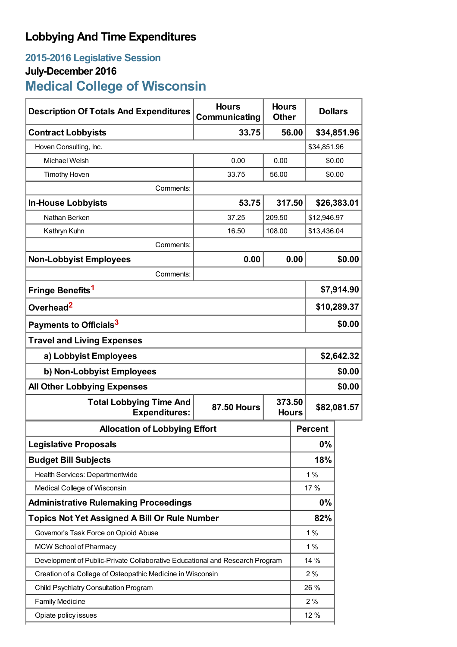## **Lobbying And Time Expenditures**

## **2015-2016 Legislative Session July-December 2016 Medical College of Wisconsin**

| <b>Description Of Totals And Expenditures</b>                                | <b>Hours</b><br>Communicating | <b>Hours</b><br><b>Other</b> |      | <b>Dollars</b> |        |  |
|------------------------------------------------------------------------------|-------------------------------|------------------------------|------|----------------|--------|--|
| <b>Contract Lobbyists</b>                                                    | 33.75                         | 56.00                        |      | \$34,851.96    |        |  |
| Hoven Consulting, Inc.                                                       |                               |                              |      | \$34,851.96    |        |  |
| Michael Welsh                                                                | 0.00                          | 0.00                         |      | \$0.00         |        |  |
| <b>Timothy Hoven</b>                                                         | 33.75                         | 56.00                        |      |                | \$0.00 |  |
| Comments:                                                                    |                               |                              |      |                |        |  |
| <b>In-House Lobbyists</b>                                                    | 53.75                         | 317.50                       |      | \$26,383.01    |        |  |
| Nathan Berken                                                                | 37.25                         | 209.50                       |      | \$12,946.97    |        |  |
| Kathryn Kuhn                                                                 | 16.50                         | 108.00                       |      | \$13,436.04    |        |  |
| Comments:                                                                    |                               |                              |      |                |        |  |
| <b>Non-Lobbyist Employees</b>                                                | 0.00                          |                              | 0.00 |                | \$0.00 |  |
| Comments:                                                                    |                               |                              |      |                |        |  |
| Fringe Benefits <sup>1</sup>                                                 |                               |                              |      | \$7,914.90     |        |  |
| Overhead <sup>2</sup>                                                        |                               |                              |      | \$10,289.37    |        |  |
| Payments to Officials <sup>3</sup>                                           |                               |                              |      | \$0.00         |        |  |
| <b>Travel and Living Expenses</b>                                            |                               |                              |      |                |        |  |
| a) Lobbyist Employees                                                        |                               |                              |      | \$2,642.32     |        |  |
| b) Non-Lobbyist Employees                                                    |                               |                              |      | \$0.00         |        |  |
| <b>All Other Lobbying Expenses</b>                                           |                               |                              |      | \$0.00         |        |  |
| <b>Total Lobbying Time And</b><br><b>Expenditures:</b>                       | <b>87.50 Hours</b>            | 373.50<br><b>Hours</b>       |      | \$82,081.57    |        |  |
| <b>Allocation of Lobbying Effort</b>                                         |                               |                              |      | <b>Percent</b> |        |  |
| <b>Legislative Proposals</b>                                                 |                               |                              |      | 0%             |        |  |
| <b>Budget Bill Subjects</b>                                                  |                               |                              | 18%  |                |        |  |
| Health Services: Departmentwide                                              |                               |                              | 1%   |                |        |  |
| Medical College of Wisconsin                                                 |                               |                              | 17 % |                |        |  |
| <b>Administrative Rulemaking Proceedings</b>                                 |                               |                              |      | 0%             |        |  |
| <b>Topics Not Yet Assigned A Bill Or Rule Number</b>                         |                               |                              |      | 82%            |        |  |
| Governor's Task Force on Opioid Abuse                                        |                               |                              |      | 1%             |        |  |
| <b>MCW School of Pharmacy</b>                                                |                               |                              |      | 1%             |        |  |
| Development of Public-Private Collaborative Educational and Research Program |                               |                              | 14 % |                |        |  |
| Creation of a College of Osteopathic Medicine in Wisconsin                   |                               |                              |      | 2%             |        |  |
| Child Psychiatry Consultation Program                                        |                               |                              |      | 26 %           |        |  |
| <b>Family Medicine</b>                                                       |                               |                              |      | 2%             |        |  |
| Opiate policy issues                                                         |                               |                              |      | 12 %           |        |  |